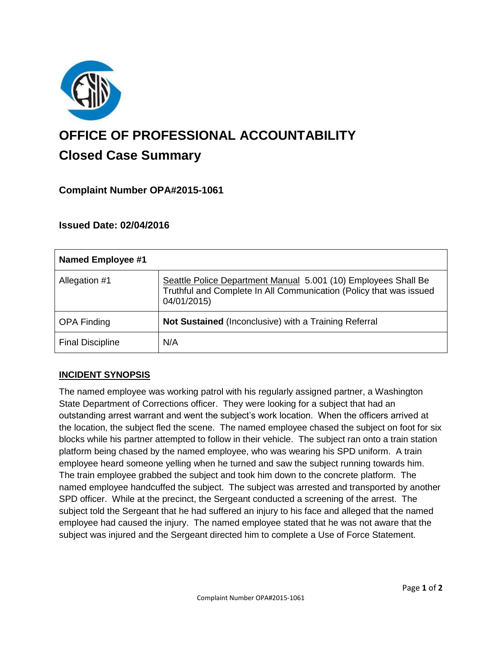

# **OFFICE OF PROFESSIONAL ACCOUNTABILITY Closed Case Summary**

# **Complaint Number OPA#2015-1061**

# **Issued Date: 02/04/2016**

| <b>Named Employee #1</b> |                                                                                                                                                     |
|--------------------------|-----------------------------------------------------------------------------------------------------------------------------------------------------|
| Allegation #1            | Seattle Police Department Manual 5.001 (10) Employees Shall Be<br>Truthful and Complete In All Communication (Policy that was issued<br>04/01/2015) |
| <b>OPA Finding</b>       | Not Sustained (Inconclusive) with a Training Referral                                                                                               |
| <b>Final Discipline</b>  | N/A                                                                                                                                                 |

# **INCIDENT SYNOPSIS**

The named employee was working patrol with his regularly assigned partner, a Washington State Department of Corrections officer. They were looking for a subject that had an outstanding arrest warrant and went the subject's work location. When the officers arrived at the location, the subject fled the scene. The named employee chased the subject on foot for six blocks while his partner attempted to follow in their vehicle. The subject ran onto a train station platform being chased by the named employee, who was wearing his SPD uniform. A train employee heard someone yelling when he turned and saw the subject running towards him. The train employee grabbed the subject and took him down to the concrete platform. The named employee handcuffed the subject. The subject was arrested and transported by another SPD officer. While at the precinct, the Sergeant conducted a screening of the arrest. The subject told the Sergeant that he had suffered an injury to his face and alleged that the named employee had caused the injury. The named employee stated that he was not aware that the subject was injured and the Sergeant directed him to complete a Use of Force Statement.